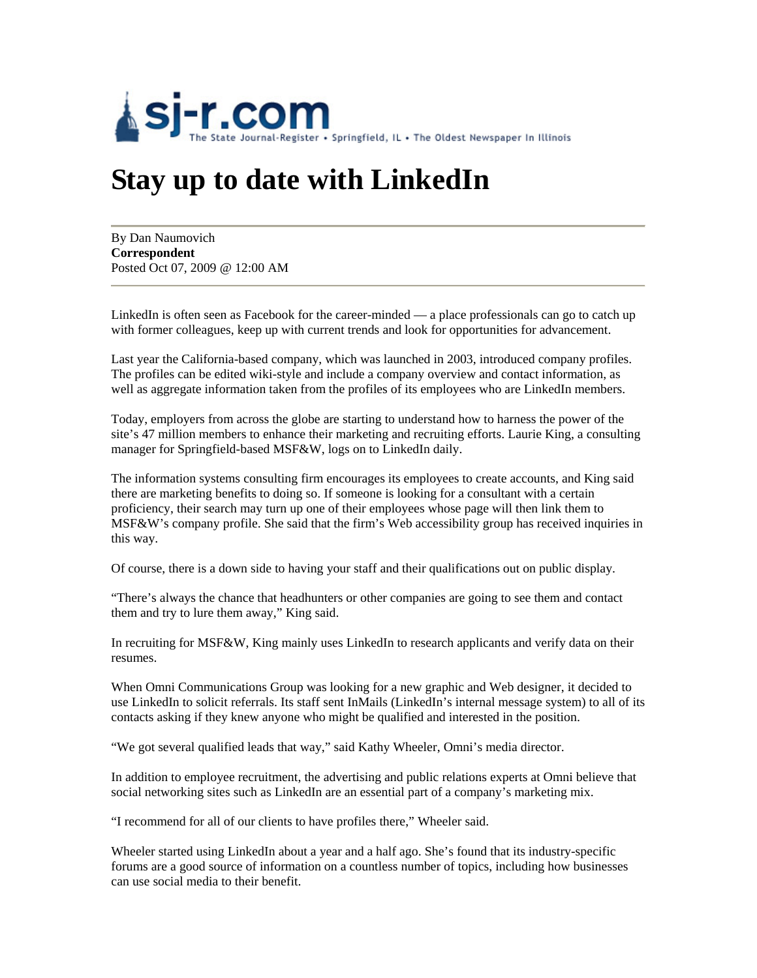

## **Stay up to date with LinkedIn**

By Dan Naumovich **Correspondent** Posted Oct 07, 2009 @ 12:00 AM

LinkedIn is often seen as Facebook for the career-minded — a place professionals can go to catch up with former colleagues, keep up with current trends and look for opportunities for advancement.

Last year the California-based company, which was launched in 2003, introduced company profiles. The profiles can be edited wiki-style and include a company overview and contact information, as well as aggregate information taken from the profiles of its employees who are LinkedIn members.

Today, employers from across the globe are starting to understand how to harness the power of the site's 47 million members to enhance their marketing and recruiting efforts. Laurie King, a consulting manager for Springfield-based MSF&W, logs on to LinkedIn daily.

The information systems consulting firm encourages its employees to create accounts, and King said there are marketing benefits to doing so. If someone is looking for a consultant with a certain proficiency, their search may turn up one of their employees whose page will then link them to MSF&W's company profile. She said that the firm's Web accessibility group has received inquiries in this way.

Of course, there is a down side to having your staff and their qualifications out on public display.

"There's always the chance that headhunters or other companies are going to see them and contact them and try to lure them away," King said.

In recruiting for MSF&W, King mainly uses LinkedIn to research applicants and verify data on their resumes.

When Omni Communications Group was looking for a new graphic and Web designer, it decided to use LinkedIn to solicit referrals. Its staff sent InMails (LinkedIn's internal message system) to all of its contacts asking if they knew anyone who might be qualified and interested in the position.

"We got several qualified leads that way," said Kathy Wheeler, Omni's media director.

In addition to employee recruitment, the advertising and public relations experts at Omni believe that social networking sites such as LinkedIn are an essential part of a company's marketing mix.

"I recommend for all of our clients to have profiles there," Wheeler said.

Wheeler started using LinkedIn about a year and a half ago. She's found that its industry-specific forums are a good source of information on a countless number of topics, including how businesses can use social media to their benefit.